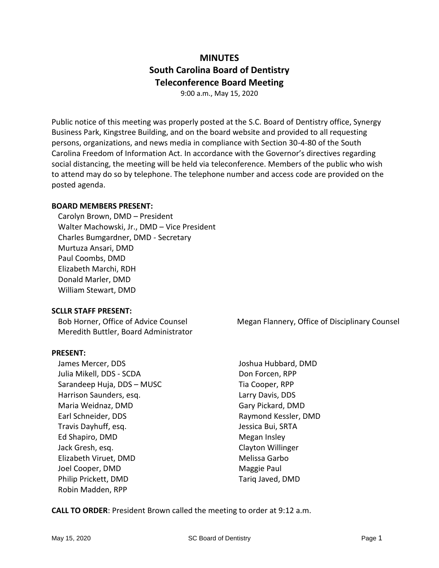# **MINUTES South Carolina Board of Dentistry Teleconference Board Meeting**

9:00 a.m., May 15, 2020

Public notice of this meeting was properly posted at the S.C. Board of Dentistry office, Synergy Business Park, Kingstree Building, and on the board website and provided to all requesting persons, organizations, and news media in compliance with Section 30-4-80 of the South Carolina Freedom of Information Act. In accordance with the Governor's directives regarding social distancing, the meeting will be held via teleconference. Members of the public who wish to attend may do so by telephone. The telephone number and access code are provided on the posted agenda.

#### **BOARD MEMBERS PRESENT:**

Carolyn Brown, DMD – President Walter Machowski, Jr., DMD – Vice President Charles Bumgardner, DMD - Secretary Murtuza Ansari, DMD Paul Coombs, DMD Elizabeth Marchi, RDH Donald Marler, DMD William Stewart, DMD

# **SCLLR STAFF PRESENT:**

Bob Horner, Office of Advice Counsel Meredith Buttler, Board Administrator

#### **PRESENT:**

James Mercer, DDS Julia Mikell, DDS - SCDA Sarandeep Huja, DDS – MUSC Harrison Saunders, esq. Maria Weidnaz, DMD Earl Schneider, DDS Travis Dayhuff, esq. Ed Shapiro, DMD Jack Gresh, esq. Elizabeth Viruet, DMD Joel Cooper, DMD Philip Prickett, DMD Robin Madden, RPP

Megan Flannery, Office of Disciplinary Counsel

Joshua Hubbard, DMD Don Forcen, RPP Tia Cooper, RPP Larry Davis, DDS Gary Pickard, DMD Raymond Kessler, DMD Jessica Bui, SRTA Megan Insley Clayton Willinger Melissa Garbo Maggie Paul Tariq Javed, DMD

**CALL TO ORDER**: President Brown called the meeting to order at 9:12 a.m.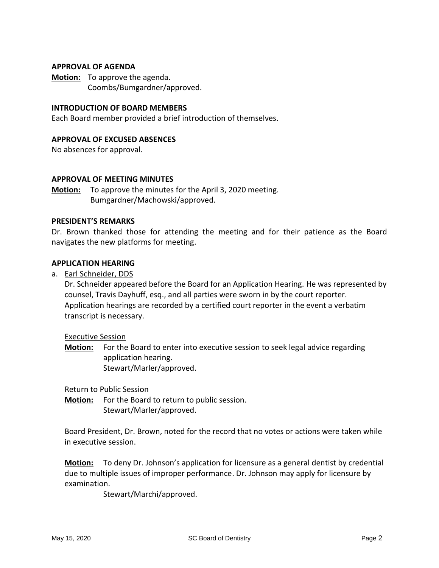#### **APPROVAL OF AGENDA**

**Motion:** To approve the agenda. Coombs/Bumgardner/approved.

#### **INTRODUCTION OF BOARD MEMBERS**

Each Board member provided a brief introduction of themselves.

#### **APPROVAL OF EXCUSED ABSENCES**

No absences for approval.

#### **APPROVAL OF MEETING MINUTES**

**Motion:** To approve the minutes for the April 3, 2020 meeting. Bumgardner/Machowski/approved.

#### **PRESIDENT'S REMARKS**

Dr. Brown thanked those for attending the meeting and for their patience as the Board navigates the new platforms for meeting.

#### **APPLICATION HEARING**

a. Earl Schneider, DDS

Dr. Schneider appeared before the Board for an Application Hearing. He was represented by counsel, Travis Dayhuff, esq., and all parties were sworn in by the court reporter. Application hearings are recorded by a certified court reporter in the event a verbatim transcript is necessary.

Executive Session

**Motion:** For the Board to enter into executive session to seek legal advice regarding application hearing. Stewart/Marler/approved.

Return to Public Session

**Motion:** For the Board to return to public session. Stewart/Marler/approved.

Board President, Dr. Brown, noted for the record that no votes or actions were taken while in executive session.

**Motion:** To deny Dr. Johnson's application for licensure as a general dentist by credential due to multiple issues of improper performance. Dr. Johnson may apply for licensure by examination.

Stewart/Marchi/approved.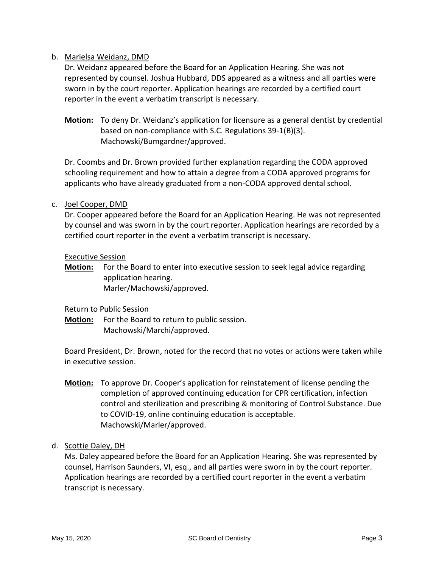# b. Marielsa Weidanz, DMD

Dr. Weidanz appeared before the Board for an Application Hearing. She was not represented by counsel. Joshua Hubbard, DDS appeared as a witness and all parties were sworn in by the court reporter. Application hearings are recorded by a certified court reporter in the event a verbatim transcript is necessary.

**Motion:** To deny Dr. Weidanz's application for licensure as a general dentist by credential based on non-compliance with S.C. Regulations 39-1(B)(3). Machowski/Bumgardner/approved.

Dr. Coombs and Dr. Brown provided further explanation regarding the CODA approved schooling requirement and how to attain a degree from a CODA approved programs for applicants who have already graduated from a non-CODA approved dental school.

#### c. Joel Cooper, DMD

Dr. Cooper appeared before the Board for an Application Hearing. He was not represented by counsel and was sworn in by the court reporter. Application hearings are recorded by a certified court reporter in the event a verbatim transcript is necessary.

#### Executive Session

**Motion:** For the Board to enter into executive session to seek legal advice regarding application hearing. Marler/Machowski/approved.

Return to Public Session

**Motion:** For the Board to return to public session. Machowski/Marchi/approved.

Board President, Dr. Brown, noted for the record that no votes or actions were taken while in executive session.

**Motion:** To approve Dr. Cooper's application for reinstatement of license pending the completion of approved continuing education for CPR certification, infection control and sterilization and prescribing & monitoring of Control Substance. Due to COVID-19, online continuing education is acceptable. Machowski/Marler/approved.

# d. Scottie Daley, DH

Ms. Daley appeared before the Board for an Application Hearing. She was represented by counsel, Harrison Saunders, VI, esq., and all parties were sworn in by the court reporter. Application hearings are recorded by a certified court reporter in the event a verbatim transcript is necessary.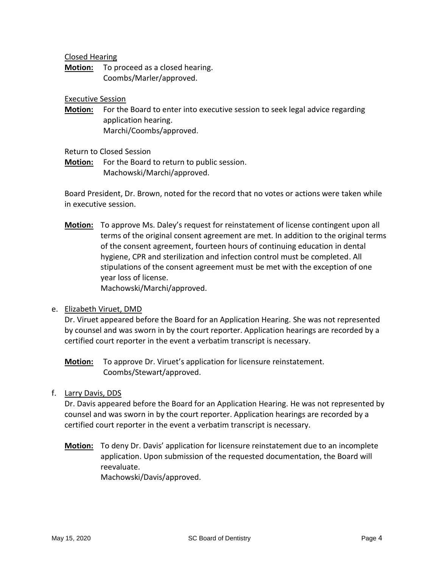Closed Hearing

**Motion:** To proceed as a closed hearing. Coombs/Marler/approved.

Executive Session

**Motion:** For the Board to enter into executive session to seek legal advice regarding application hearing. Marchi/Coombs/approved.

Return to Closed Session

**Motion:** For the Board to return to public session. Machowski/Marchi/approved.

Board President, Dr. Brown, noted for the record that no votes or actions were taken while in executive session.

**Motion:** To approve Ms. Daley's request for reinstatement of license contingent upon all terms of the original consent agreement are met. In addition to the original terms of the consent agreement, fourteen hours of continuing education in dental hygiene, CPR and sterilization and infection control must be completed. All stipulations of the consent agreement must be met with the exception of one year loss of license.

Machowski/Marchi/approved.

# e. Elizabeth Viruet, DMD

Dr. Viruet appeared before the Board for an Application Hearing. She was not represented by counsel and was sworn in by the court reporter. Application hearings are recorded by a certified court reporter in the event a verbatim transcript is necessary.

**Motion:** To approve Dr. Viruet's application for licensure reinstatement. Coombs/Stewart/approved.

# f. Larry Davis, DDS

Dr. Davis appeared before the Board for an Application Hearing. He was not represented by counsel and was sworn in by the court reporter. Application hearings are recorded by a certified court reporter in the event a verbatim transcript is necessary.

**Motion:** To deny Dr. Davis' application for licensure reinstatement due to an incomplete application. Upon submission of the requested documentation, the Board will reevaluate. Machowski/Davis/approved.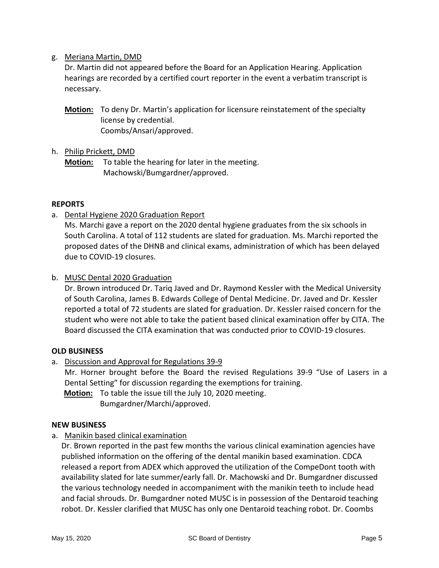# g. Meriana Martin, DMD

Dr. Martin did not appeared before the Board for an Application Hearing. Application hearings are recorded by a certified court reporter in the event a verbatim transcript is necessary.

**Motion:** To deny Dr. Martin's application for licensure reinstatement of the specialty license by credential. Coombs/Ansari/approved.

# h. Philip Prickett, DMD

**Motion:** To table the hearing for later in the meeting. Machowski/Bumgardner/approved.

# **REPORTS**

a. Dental Hygiene 2020 Graduation Report

Ms. Marchi gave a report on the 2020 dental hygiene graduates from the six schools in South Carolina. A total of 112 students are slated for graduation. Ms. Marchi reported the proposed dates of the DHNB and clinical exams, administration of which has been delayed due to COVID-19 closures.

# b. MUSC Dental 2020 Graduation

Dr. Brown introduced Dr. Tariq Javed and Dr. Raymond Kessler with the Medical University of South Carolina, James B. Edwards College of Dental Medicine. Dr. Javed and Dr. Kessler reported a total of 72 students are slated for graduation. Dr. Kessler raised concern for the student who were not able to take the patient based clinical examination offer by CITA. The Board discussed the CITA examination that was conducted prior to COVID-19 closures.

# **OLD BUSINESS**

a. Discussion and Approval for Regulations 39-9

Mr. Horner brought before the Board the revised Regulations 39-9 "Use of Lasers in a Dental Setting" for discussion regarding the exemptions for training.

**Motion:** To table the issue till the July 10, 2020 meeting.

Bumgardner/Marchi/approved.

# **NEW BUSINESS**

a. Manikin based clinical examination

Dr. Brown reported in the past few months the various clinical examination agencies have published information on the offering of the dental manikin based examination. CDCA released a report from ADEX which approved the utilization of the CompeDont tooth with availability slated for late summer/early fall. Dr. Machowski and Dr. Bumgardner discussed the various technology needed in accompaniment with the manikin teeth to include head and facial shrouds. Dr. Bumgardner noted MUSC is in possession of the Dentaroid teaching robot. Dr. Kessler clarified that MUSC has only one Dentaroid teaching robot. Dr. Coombs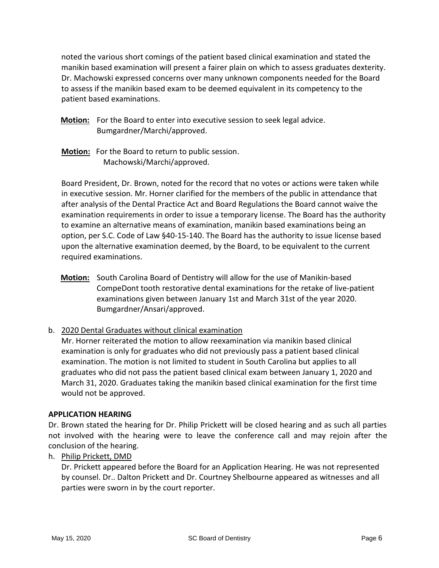noted the various short comings of the patient based clinical examination and stated the manikin based examination will present a fairer plain on which to assess graduates dexterity. Dr. Machowski expressed concerns over many unknown components needed for the Board to assess if the manikin based exam to be deemed equivalent in its competency to the patient based examinations.

- **Motion:** For the Board to enter into executive session to seek legal advice. Bumgardner/Marchi/approved.
- **Motion:** For the Board to return to public session. Machowski/Marchi/approved.

Board President, Dr. Brown, noted for the record that no votes or actions were taken while in executive session. Mr. Horner clarified for the members of the public in attendance that after analysis of the Dental Practice Act and Board Regulations the Board cannot waive the examination requirements in order to issue a temporary license. The Board has the authority to examine an alternative means of examination, manikin based examinations being an option, per S.C. Code of Law §40-15-140. The Board has the authority to issue license based upon the alternative examination deemed, by the Board, to be equivalent to the current required examinations.

- **Motion:** South Carolina Board of Dentistry will allow for the use of Manikin-based CompeDont tooth restorative dental examinations for the retake of live-patient examinations given between January 1st and March 31st of the year 2020. Bumgardner/Ansari/approved.
- b. 2020 Dental Graduates without clinical examination

Mr. Horner reiterated the motion to allow reexamination via manikin based clinical examination is only for graduates who did not previously pass a patient based clinical examination. The motion is not limited to student in South Carolina but applies to all graduates who did not pass the patient based clinical exam between January 1, 2020 and March 31, 2020. Graduates taking the manikin based clinical examination for the first time would not be approved.

# **APPLICATION HEARING**

Dr. Brown stated the hearing for Dr. Philip Prickett will be closed hearing and as such all parties not involved with the hearing were to leave the conference call and may rejoin after the conclusion of the hearing.

h. Philip Prickett, DMD

Dr. Prickett appeared before the Board for an Application Hearing. He was not represented by counsel. Dr.. Dalton Prickett and Dr. Courtney Shelbourne appeared as witnesses and all parties were sworn in by the court reporter.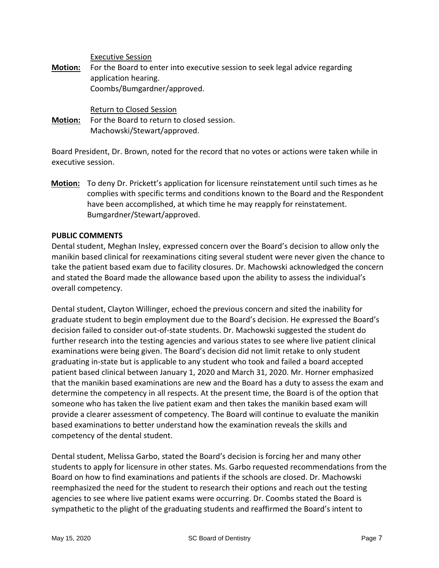Executive Session

**Motion:** For the Board to enter into executive session to seek legal advice regarding application hearing. Coombs/Bumgardner/approved.

Return to Closed Session

**Motion:** For the Board to return to closed session. Machowski/Stewart/approved.

Board President, Dr. Brown, noted for the record that no votes or actions were taken while in executive session.

**Motion:** To deny Dr. Prickett's application for licensure reinstatement until such times as he complies with specific terms and conditions known to the Board and the Respondent have been accomplished, at which time he may reapply for reinstatement. Bumgardner/Stewart/approved.

#### **PUBLIC COMMENTS**

Dental student, Meghan Insley, expressed concern over the Board's decision to allow only the manikin based clinical for reexaminations citing several student were never given the chance to take the patient based exam due to facility closures. Dr. Machowski acknowledged the concern and stated the Board made the allowance based upon the ability to assess the individual's overall competency.

Dental student, Clayton Willinger, echoed the previous concern and sited the inability for graduate student to begin employment due to the Board's decision. He expressed the Board's decision failed to consider out-of-state students. Dr. Machowski suggested the student do further research into the testing agencies and various states to see where live patient clinical examinations were being given. The Board's decision did not limit retake to only student graduating in-state but is applicable to any student who took and failed a board accepted patient based clinical between January 1, 2020 and March 31, 2020. Mr. Horner emphasized that the manikin based examinations are new and the Board has a duty to assess the exam and determine the competency in all respects. At the present time, the Board is of the option that someone who has taken the live patient exam and then takes the manikin based exam will provide a clearer assessment of competency. The Board will continue to evaluate the manikin based examinations to better understand how the examination reveals the skills and competency of the dental student.

Dental student, Melissa Garbo, stated the Board's decision is forcing her and many other students to apply for licensure in other states. Ms. Garbo requested recommendations from the Board on how to find examinations and patients if the schools are closed. Dr. Machowski reemphasized the need for the student to research their options and reach out the testing agencies to see where live patient exams were occurring. Dr. Coombs stated the Board is sympathetic to the plight of the graduating students and reaffirmed the Board's intent to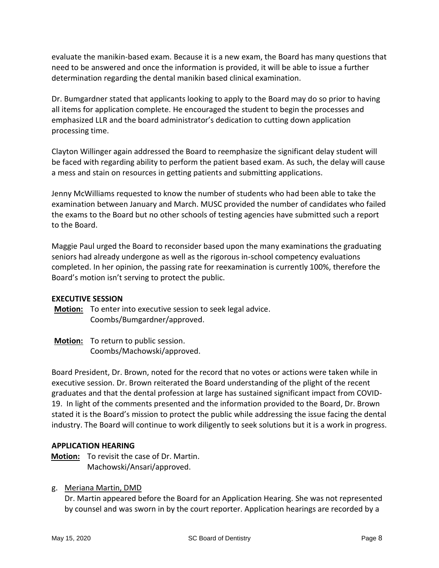evaluate the manikin-based exam. Because it is a new exam, the Board has many questions that need to be answered and once the information is provided, it will be able to issue a further determination regarding the dental manikin based clinical examination.

Dr. Bumgardner stated that applicants looking to apply to the Board may do so prior to having all items for application complete. He encouraged the student to begin the processes and emphasized LLR and the board administrator's dedication to cutting down application processing time.

Clayton Willinger again addressed the Board to reemphasize the significant delay student will be faced with regarding ability to perform the patient based exam. As such, the delay will cause a mess and stain on resources in getting patients and submitting applications.

Jenny McWilliams requested to know the number of students who had been able to take the examination between January and March. MUSC provided the number of candidates who failed the exams to the Board but no other schools of testing agencies have submitted such a report to the Board.

Maggie Paul urged the Board to reconsider based upon the many examinations the graduating seniors had already undergone as well as the rigorous in-school competency evaluations completed. In her opinion, the passing rate for reexamination is currently 100%, therefore the Board's motion isn't serving to protect the public.

# **EXECUTIVE SESSION**

**Motion:** To enter into executive session to seek legal advice. Coombs/Bumgardner/approved.

**Motion:** To return to public session. Coombs/Machowski/approved.

Board President, Dr. Brown, noted for the record that no votes or actions were taken while in executive session. Dr. Brown reiterated the Board understanding of the plight of the recent graduates and that the dental profession at large has sustained significant impact from COVID-19. In light of the comments presented and the information provided to the Board, Dr. Brown stated it is the Board's mission to protect the public while addressing the issue facing the dental industry. The Board will continue to work diligently to seek solutions but it is a work in progress.

# **APPLICATION HEARING**

**Motion:** To revisit the case of Dr. Martin. Machowski/Ansari/approved.

# g. Meriana Martin, DMD

Dr. Martin appeared before the Board for an Application Hearing. She was not represented by counsel and was sworn in by the court reporter. Application hearings are recorded by a